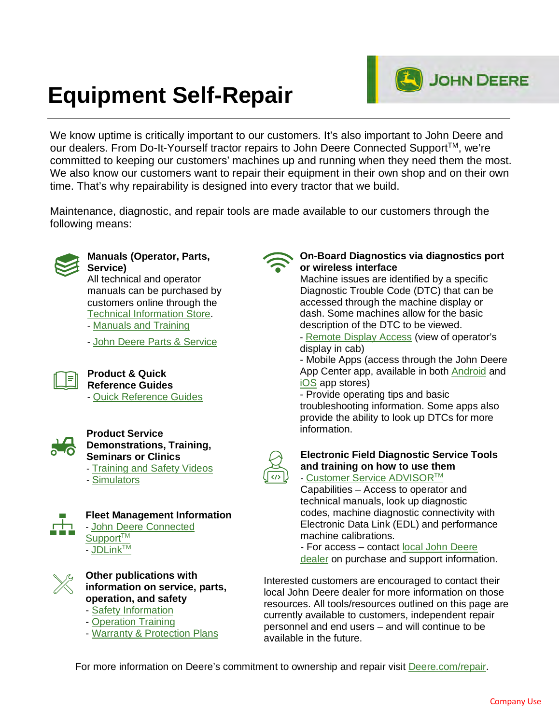# **Equipment Self-Repair**

We know uptime is critically important to our customers. It's also important to John Deere and our dealers. From Do-It-Yourself tractor repairs to John Deere Connected Support™, we're committed to keeping our customers' machines up and running when they need them the most. We also know our customers want to repair their equipment in their own shop and on their own time. That's why repairability is designed into every tractor that we build.

Maintenance, diagnostic, and repair tools are made available to our customers through the following means:



#### **Manuals (Operator, Parts, Service)**

All technical and operator manuals can be purchased by customers online through the [Technical Information Store.](https://techpubs.deere.com/) - [Manuals and Training](https://www.deere.com/en/parts-and-service/manuals-and-training/) - [John Deere Parts & Service](https://www.deere.com/en/parts-and-service/parts/)



**Product & Quick Reference Guides** - [Quick Reference Guides](https://www.deere.com/en/parts-and-service/manuals-and-training/quick-reference-guides/)



#### **Product Service Demonstrations, Training, Seminars or Clinics**

- [Training and Safety Videos](https://www.deere.com/en/parts-and-service/manuals-and-training/videos/)

- [Simulators](https://www.deere.com/en/parts-and-service/manuals-and-training/simulators/)



**Fleet Management Information** - [John Deere Connected](https://www.deere.com/en/parts-and-service/connected-support/agriculture-connected-support/expert-alerts/) Support<sup>TM</sup> - [JDLinkTM](https://www.deere.com/en/technology-products/precision-ag-technology/data-management/jdlink/)



#### **Other publications with information on service, parts, operation, and safety**

- [Safety Information](https://www.deere.com/en/parts-and-service/safety/)
- [Operation Training](https://www.deere.com/en/parts-and-service/manuals-and-training/#training%5D)
- [Warranty & Protection Plans](https://www.deere.com/en/parts-and-service/warranty-and-protection-plans/)

#### **On-Board Diagnostics via diagnostics port or wireless interface**

**JOHN DEERE** 

Machine issues are identified by a specific Diagnostic Trouble Code (DTC) that can be accessed through the machine display or dash. Some machines allow for the basic description of the DTC to be viewed.

- [Remote Display Access](https://www.deere.com/en/parts-and-service/connected-support/agriculture-connected-support/remote-display-access/) (view of operator's display in cab)

- Mobile Apps (access through the John Deere App Center app, available in both [Android](https://play.google.com/store/apps/details?id=com.deere.appcenter&hl=en_US&gl=US) and [iOS](https://apps.apple.com/us/app/john-deere-app-center/id940151246) app stores)

- Provide operating tips and basic troubleshooting information. Some apps also provide the ability to look up DTCs for more information.



- [Customer Service ADVISORTM](https://www.deere.com/en/parts-and-service/manuals-and-training/simulators/)

Capabilities – Access to operator and technical manuals, look up diagnostic codes, machine diagnostic connectivity with Electronic Data Link (EDL) and performance machine calibrations.

- For access – contact [local John Deere](https://dealerlocator.deere.com/servlet/country=US) [dealer](https://dealerlocator.deere.com/servlet/country=US) on purchase and support information.

Interested customers are encouraged to contact their local John Deere dealer for more information on those resources. All tools/resources outlined on this page are currently available to customers, independent repair personnel and end users – and will continue to be available in the future.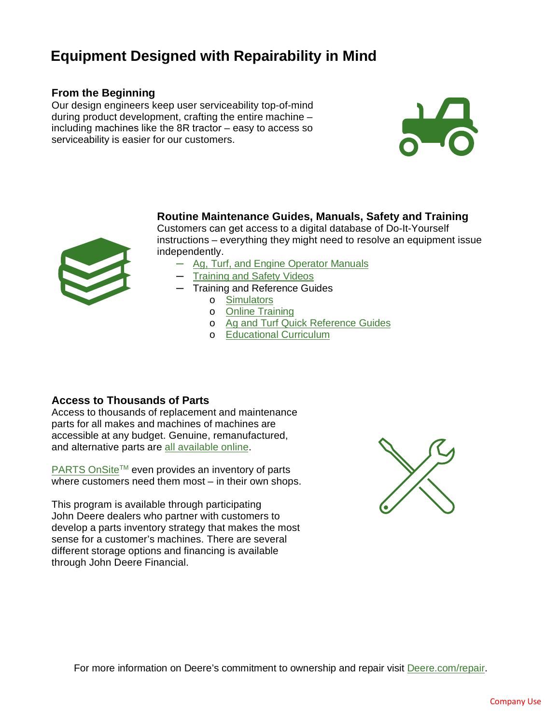## **Equipment Designed with Repairability in Mind**

#### **From the Beginning**

Our design engineers keep user serviceability top-of-mind during product development, crafting the entire machine – including machines like the 8R tractor – easy to access so serviceability is easier for our customers.



**Routine Maintenance Guides, Manuals, Safety and Training**  Customers can get access to a digital database of Do-It-Yourself

instructions – everything they might need to resolve an equipment issue independently.

- ─ [Ag, Turf, and Engine Operator Manuals](https://techpubs.deere.com/)
- ─ [Training and Safety Videos](https://www.deere.com/en/parts-and-service/manuals-and-training/videos/)
- ─ Training and Reference Guides
	- o [Simulators](https://www.deere.com/en/parts-and-service/manuals-and-training/simulators/)
	- o [Online Training](https://myjohndeere.deere.com/mjd/my/login?TARGET=https:%2F%2Fmyjohndeere.deere.com%2Fmjd%2Fmyauth%2Fdashboard)
	- o [Ag and Turf Quick Reference Guides](https://www.deere.com/en/parts-and-service/manuals-and-training/quick-reference-guides/)
	- o [Educational Curriculum](https://www.deere.com/assets/pdfs/common/parts-and-service/manuals-training/2019LearningResourceMaterialsCatalog.pdf)

#### **Access to Thousands of Parts**

Access to thousands of replacement and maintenance parts for all makes and machines of machines are accessible at any budget. Genuine, remanufactured, and alternative parts are all [available online.](https://www.deere.com/en/parts-and-service/parts/parts-onsite/?cid=SEM_Parts_enUS&gclid=Cj0KCQjwwNWKBhDAARIsAJ8Hkhd2ULbNqVTCLnhQDskaRth5TSnblG6qCzBJL2u_RPuIABvLBalTkjsaAriBEALw_wcB&gclsrc=aw.ds)

[PARTS OnSite](https://www.deere.com/en/parts-and-service/parts/parts-onsite/?cid=SEM_Parts_enUS&gclid=Cj0KCQjwwNWKBhDAARIsAJ8Hkhd2ULbNqVTCLnhQDskaRth5TSnblG6qCzBJL2u_RPuIABvLBalTkjsaAriBEALw_wcB&gclsrc=aw.ds)™ even provides an inventory of parts where customers need them most – in their own shops.

This program is available through participating John Deere dealers who partner with customers to develop a parts inventory strategy that makes the most sense for a customer's machines. There are several different storage options and financing is available through John Deere Financial.

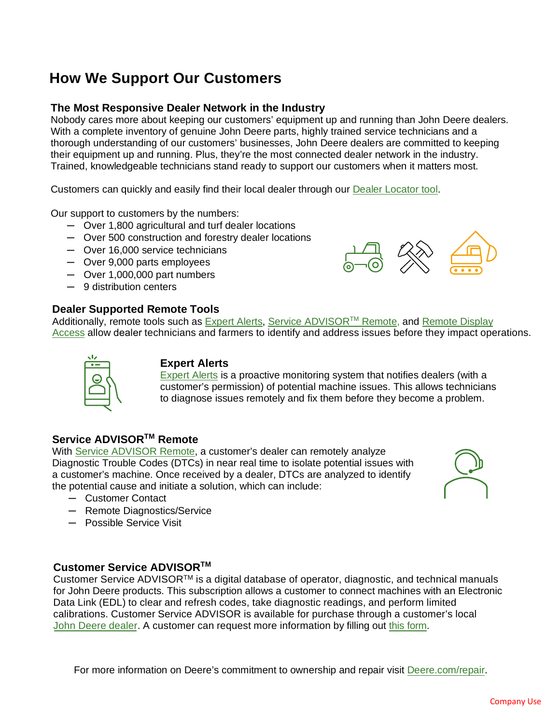## **How We Support Our Customers**

#### **The Most Responsive Dealer Network in the Industry**

Nobody cares more about keeping our customers' equipment up and running than John Deere dealers. With a complete inventory of genuine John Deere parts, highly trained service technicians and a thorough understanding of our customers' businesses, John Deere dealers are committed to keeping their equipment up and running. Plus, they're the most connected dealer network in the industry. Trained, knowledgeable technicians stand ready to support our customers when it matters most.

Customers can quickly and easily find their local dealer through our [Dealer Locator tool.](https://dealerlocator.deere.com/servlet/country=US)

Our support to customers by the numbers:

- ─ Over 1,800 agricultural and turf dealer locations
- ─ Over 500 construction and forestry dealer locations
- ─ Over 16,000 service technicians
- ─ Over 9,000 parts employees
- ─ Over 1,000,000 part numbers
- ─ 9 distribution centers

#### **Dealer Supported Remote Tools**

Additionally, remote tools such as [Expert Alerts,](https://www.deere.com/en/parts-and-service/connected-support/agriculture-connected-support/expert-alerts/) Service ADVISOR<sup>™</sup> Remote, and Remote Display [Access](https://www.deere.com/en/parts-and-service/connected-support/agriculture-connected-support/remote-display-access/) allow dealer technicians and farmers to identify and address issues before they impact operations.



#### **Expert Alerts**

[Expert Alerts](https://www.deere.com/en/parts-and-service/connected-support/agriculture-connected-support/expert-alerts/) is a proactive monitoring system that notifies dealers (with a customer's permission) of potential machine issues. This allows technicians to diagnose issues remotely and fix them before they become a problem.

#### **Service ADVISORTM Remote**

With [Service ADVISOR Remote,](https://www.deere.com/en/parts-and-service/connected-support/agriculture-connected-support/service-advisor-remote/) a customer's dealer can remotely analyze Diagnostic Trouble Codes (DTCs) in near real time to isolate potential issues with a customer's machine. Once received by a dealer, DTCs are analyzed to identify the potential cause and initiate a solution, which can include:



- ─ Customer Contact
- ─ Remote Diagnostics/Service
- ─ Possible Service Visit

#### **Customer Service ADVISORTM**

Customer Service ADVISORTM is a digital database of operator, diagnostic, and technical manuals for John Deere products. This subscription allows a customer to connect machines with an Electronic Data Link (EDL) to clear and refresh codes, take diagnostic readings, and perform limited calibrations. Customer Service ADVISOR is available for purchase through a customer's local John Deere dealer. A customer can request more information by filling out this form.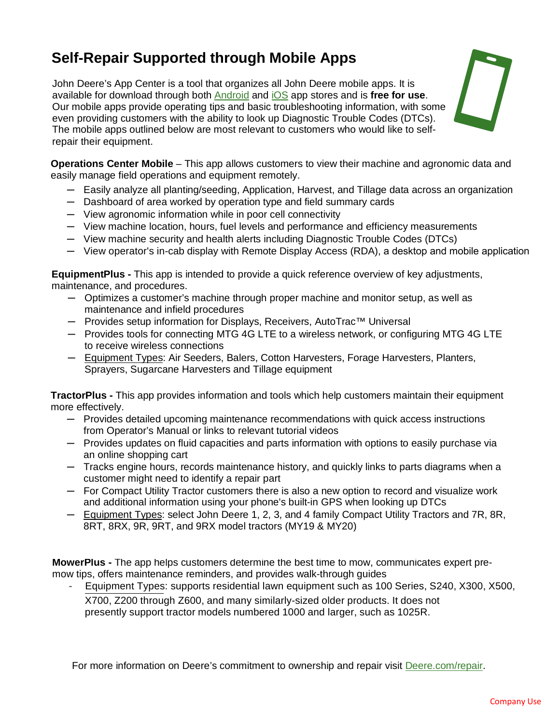## **Self-Repair Supported through Mobile Apps**

John Deere's App Center is a tool that organizes all John Deere mobile apps. It is available for download through both [Android](https://play.google.com/store/apps/details?id=com.deere.appcenter&hl=en_US&gl=US) and [iOS](https://apps.apple.com/us/app/john-deere-app-center/id940151246) app stores and is **free for use**. Our mobile apps provide operating tips and basic troubleshooting information, with some even providing customers with the ability to look up Diagnostic Trouble Codes (DTCs). The mobile apps outlined below are most relevant to customers who would like to selfrepair their equipment.



**Operations Center Mobile** – This app allows customers to view their machine and agronomic data and easily manage field operations and equipment remotely.

- ─ Easily analyze all planting/seeding, Application, Harvest, and Tillage data across an organization
- ─ Dashboard of area worked by operation type and field summary cards
- ─ View agronomic information while in poor cell connectivity
- ─ View machine location, hours, fuel levels and performance and efficiency measurements
- ─ View machine security and health alerts including Diagnostic Trouble Codes (DTCs)
- ─ View operator's in-cab display with Remote Display Access (RDA), a desktop and mobile application

**EquipmentPlus -** This app is intended to provide a quick reference overview of key adjustments, maintenance, and procedures.

- ─ Optimizes a customer's machine through proper machine and monitor setup, as well as maintenance and infield procedures
- ─ Provides setup information for Displays, Receivers, AutoTrac™ Universal
- Provides tools for connecting MTG 4G LTE to a wireless network, or configuring MTG 4G LTE to receive wireless connections
- ─ Equipment Types: Air Seeders, Balers, Cotton Harvesters, Forage Harvesters, Planters, Sprayers, Sugarcane Harvesters and Tillage equipment

**TractorPlus -** This app provides information and tools which help customers maintain their equipment more effectively.

- $-$  Provides detailed upcoming maintenance recommendations with quick access instructions from Operator's Manual or links to relevant tutorial videos
- ─ Provides updates on fluid capacities and parts information with options to easily purchase via an online shopping cart
- ─ Tracks engine hours, records maintenance history, and quickly links to parts diagrams when a customer might need to identify a repair part
- ─ For Compact Utility Tractor customers there is also a new option to record and visualize work and additional information using your phone's built-in GPS when looking up DTCs
- ─ Equipment Types: select John Deere 1, 2, 3, and 4 family Compact Utility Tractors and 7R, 8R, 8RT, 8RX, 9R, 9RT, and 9RX model tractors (MY19 & MY20)

**MowerPlus -** The app helps customers determine the best time to mow, communicates expert premow tips, offers maintenance reminders, and provides walk-through guides

Equipment Types: supports residential lawn equipment such as 100 Series, S240, X300, X500, X700, Z200 through Z600, and many similarly-sized older products. It does not presently support tractor models numbered 1000 and larger, such as 1025R.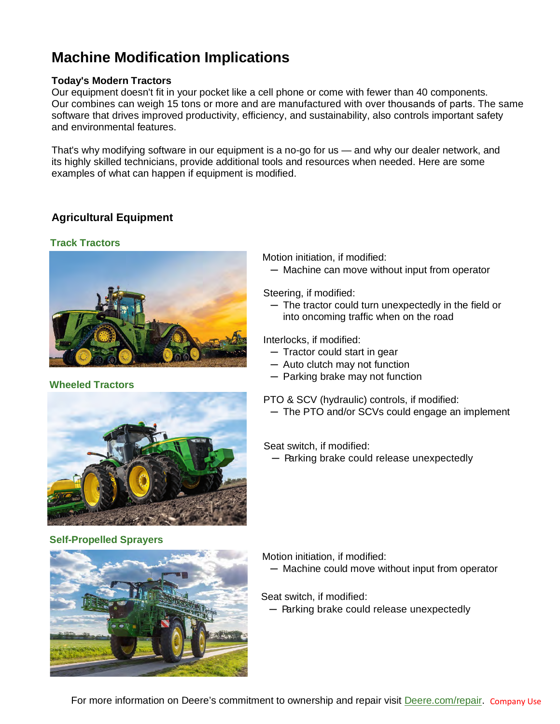## **Machine Modification Implications**

#### **Today's Modern Tractors**

Our equipment doesn't fit in your pocket like a cell phone or come with fewer than 40 components. Our combines can weigh 15 tons or more and are manufactured with over thousands of parts. The same software that drives improved productivity, efficiency, and sustainability, also controls important safety and environmental features.

That's why modifying software in our equipment is a no-go for us — and why our dealer network, and its highly skilled technicians, provide additional tools and resources when needed. Here are some examples of what can happen if equipment is modified.

#### **Agricultural Equipment**

#### **Track Tractors**



#### **Wheeled Tractors**



Motion initiation, if modified:

─ Machine can move without input from operator

Steering, if modified:

─ The tractor could turn unexpectedly in the field or into oncoming traffic when on the road

Interlocks, if modified:

- ─ Tractor could start in gear
- ─ Auto clutch may not function
- ─ Parking brake may not function

PTO & SCV (hydraulic) controls, if modified:

─ The PTO and/or SCVs could engage an implement

Seat switch, if modified:

─ Parking brake could release unexpectedly

**Self-Propelled Sprayers**



Motion initiation, if modified:

─ Machine could move without input from operator

Seat switch, if modified:

─ Parking brake could release unexpectedly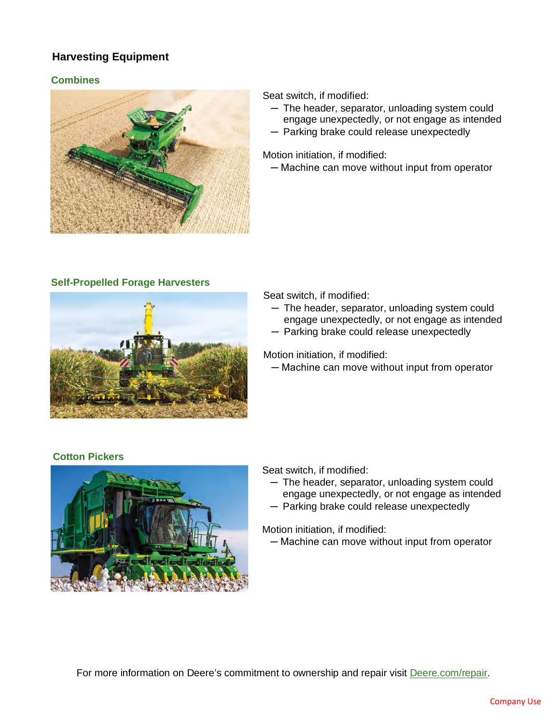### **Harvesting Equipment**

#### **Combines**



Seat switch, if modified:

- ─ The header, separator, unloading system could engage unexpectedly, or not engage as intended
- ─ Parking brake could release unexpectedly

Motion initiation, if modified:

─ Machine can move without input from operator

#### **Self-Propelled Forage Harvesters**



Seat switch, if modified:

- ─ The header, separator, unloading system could engage unexpectedly, or not engage as intended
- ─ Parking brake could release unexpectedly

Motion initiation, if modified:

─ Machine can move without input from operator

#### **Cotton Pickers**



Seat switch, if modified:

- ─ The header, separator, unloading system could engage unexpectedly, or not engage as intended
- ─ Parking brake could release unexpectedly

Motion initiation, if modified:

─ Machine can move without input from operator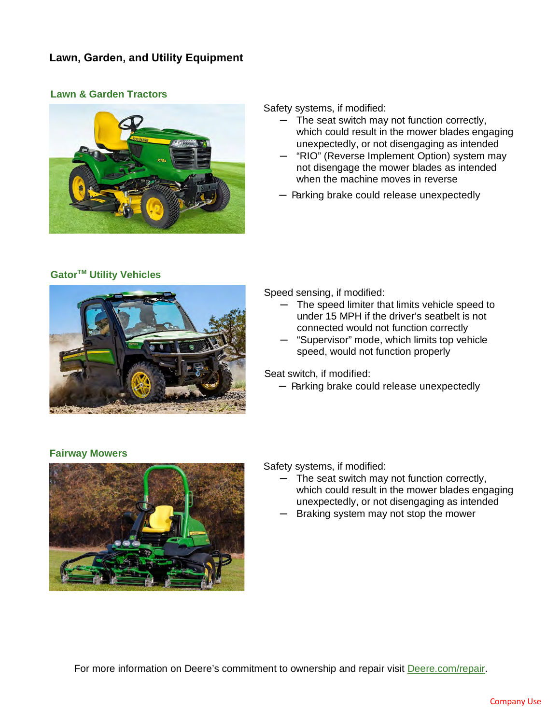#### **Lawn, Garden, and Utility Equipment**

#### **Lawn & Garden Tractors**



Safety systems, if modified:

- The seat switch may not function correctly, which could result in the mower blades engaging unexpectedly, or not disengaging as intended
- "RIO" (Reverse Implement Option) system may not disengage the mower blades as intended when the machine moves in reverse
- ─ Parking brake could release unexpectedly

#### **GatorTM Utility Vehicles**



Speed sensing, if modified:

- ─ The speed limiter that limits vehicle speed to under 15 MPH if the driver's seatbelt is not connected would not function correctly
- ─ "Supervisor" mode, which limits top vehicle speed, would not function properly

Seat switch, if modified:

─ Parking brake could release unexpectedly

#### **Fairway Mowers**



#### Safety systems, if modified:

- ─ The seat switch may not function correctly, which could result in the mower blades engaging unexpectedly, or not disengaging as intended
- ─ Braking system may not stop the mower

For more information on Deere's commitment to ownership and repair visit [Deere.com/repair.](https://www.deere.com/en/our-company/news-and-announcements/newsroom/repair/)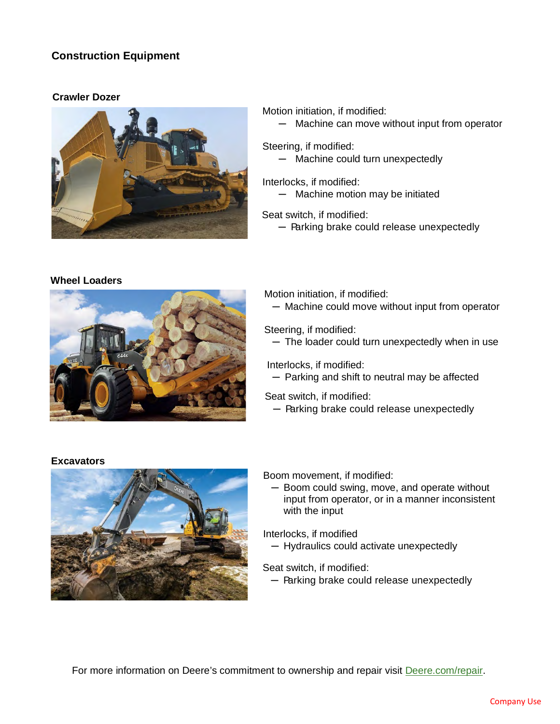#### **Construction Equipment**

#### **Crawler Dozer**



#### Motion initiation, if modified:

─ Machine can move without input from operator

Steering, if modified:

─ Machine could turn unexpectedly

Interlocks, if modified: ─ Machine motion may be initiated

Seat switch, if modified:

─ Parking brake could release unexpectedly

#### **Wheel Loaders**



Motion initiation, if modified: ─ Machine could move without input from operator

Steering, if modified: ─ The loader could turn unexpectedly when in use

Interlocks, if modified: ─ Parking and shift to neutral may be affected

Seat switch, if modified:

─ Parking brake could release unexpectedly

#### **Excavators**



Boom movement, if modified:

─ Boom could swing, move, and operate without input from operator, or in a manner inconsistent with the input

Interlocks, if modified

─ Hydraulics could activate unexpectedly

Seat switch, if modified:

─ Parking brake could release unexpectedly